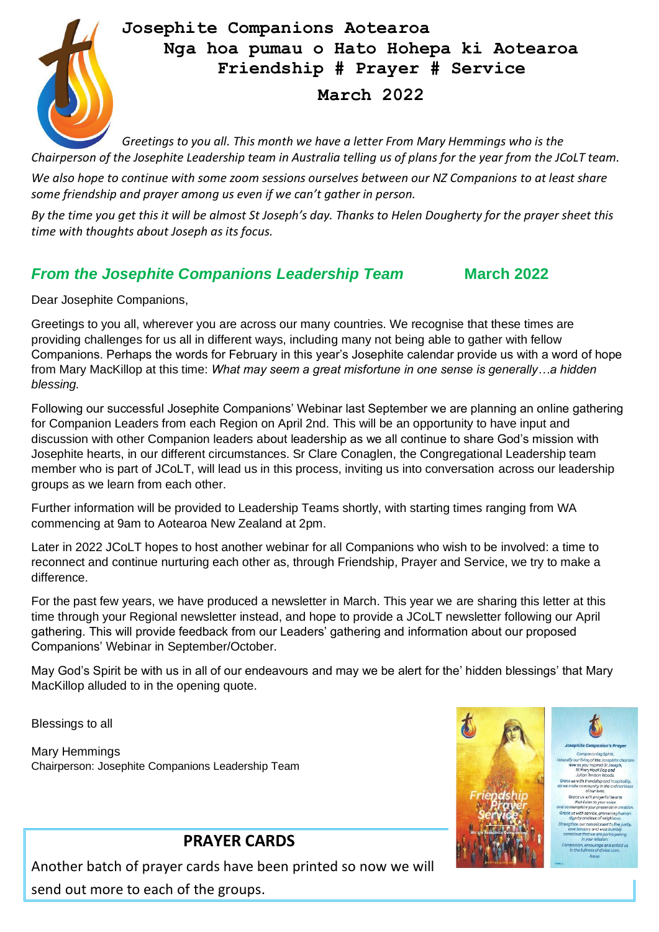

# **Josephite Companions Aotearoa Nga hoa pumau o Hato Hohepa ki Aotearoa Friendship # Prayer # Service March 2022**

*Greetings to you all. This month we have a letter From Mary Hemmings who is the Chairperson of the Josephite Leadership team in Australia telling us of plans for the year from the JCoLT team.* 

*We also hope to continue with some zoom sessions ourselves between our NZ Companions to at least share some friendship and prayer among us even if we can't gather in person.*

*By the time you get this it will be almost St Joseph's day. Thanks to Helen Dougherty for the prayer sheet this time with thoughts about Joseph as its focus.* 

# *From the Josephite Companions Leadership Team* **March 2022**

Dear Josephite Companions,

Greetings to you all, wherever you are across our many countries. We recognise that these times are providing challenges for us all in different ways, including many not being able to gather with fellow Companions. Perhaps the words for February in this year's Josephite calendar provide us with a word of hope from Mary MacKillop at this time: *What may seem a great misfortune in one sense is generally…a hidden blessing.*

Following our successful Josephite Companions' Webinar last September we are planning an online gathering for Companion Leaders from each Region on April 2nd. This will be an opportunity to have input and discussion with other Companion leaders about leadership as we all continue to share God's mission with Josephite hearts, in our different circumstances. Sr Clare Conaglen, the Congregational Leadership team member who is part of JCoLT, will lead us in this process, inviting us into conversation across our leadership groups as we learn from each other.

Further information will be provided to Leadership Teams shortly, with starting times ranging from WA commencing at 9am to Aotearoa New Zealand at 2pm.

Later in 2022 JCoLT hopes to host another webinar for all Companions who wish to be involved: a time to reconnect and continue nurturing each other as, through Friendship, Prayer and Service, we try to make a difference.

For the past few years, we have produced a newsletter in March. This year we are sharing this letter at this time through your Regional newsletter instead, and hope to provide a JCoLT newsletter following our April gathering. This will provide feedback from our Leaders' gathering and information about our proposed Companions' Webinar in September/October.

May God's Spirit be with us in all of our endeavours and may we be alert for the' hidden blessings' that Mary MacKillop alluded to in the opening quote.

Blessings to all

Mary Hemmings Chairperson: Josephite Companions Leadership Team



# **PRAYER CARDS**

Another batch of prayer cards have been printed so now we will send out more to each of the groups.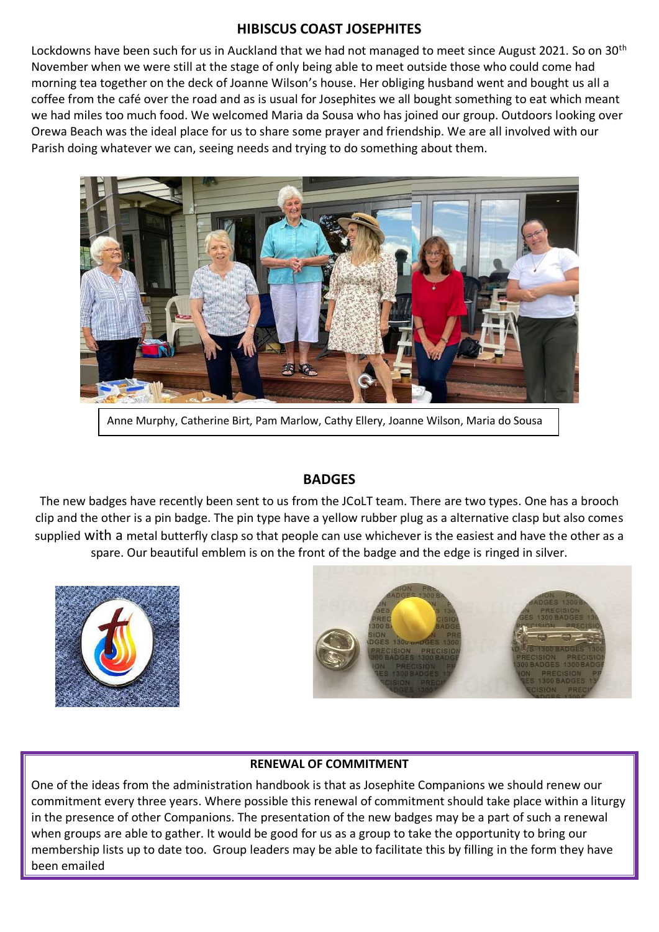#### **HIBISCUS COAST JOSEPHITES**

Lockdowns have been such for us in Auckland that we had not managed to meet since August 2021. So on 30<sup>th</sup> November when we were still at the stage of only being able to meet outside those who could come had morning tea together on the deck of Joanne Wilson's house. Her obliging husband went and bought us all a coffee from the café over the road and as is usual for Josephites we all bought something to eat which meant we had miles too much food. We welcomed Maria da Sousa who has joined our group. Outdoors looking over Orewa Beach was the ideal place for us to share some prayer and friendship. We are all involved with our Parish doing whatever we can, seeing needs and trying to do something about them.



Anne Murphy, Catherine Birt, Pam Marlow, Cathy Ellery, Joanne Wilson, Maria do Sousa

## **BADGES**

The new badges have recently been sent to us from the JCoLT team. There are two types. One has a brooch clip and the other is a pin badge. The pin type have a yellow rubber plug as a alternative clasp but also comes supplied with a metal butterfly clasp so that people can use whichever is the easiest and have the other as a spare. Our beautiful emblem is on the front of the badge and the edge is ringed in silver.





#### **RENEWAL OF COMMITMENT**

One of the ideas from the administration handbook is that as Josephite Companions we should renew our commitment every three years. Where possible this renewal of commitment should take place within a liturgy in the presence of other Companions. The presentation of the new badges may be a part of such a renewal when groups are able to gather. It would be good for us as a group to take the opportunity to bring our membership lists up to date too. Group leaders may be able to facilitate this by filling in the form they have been emailed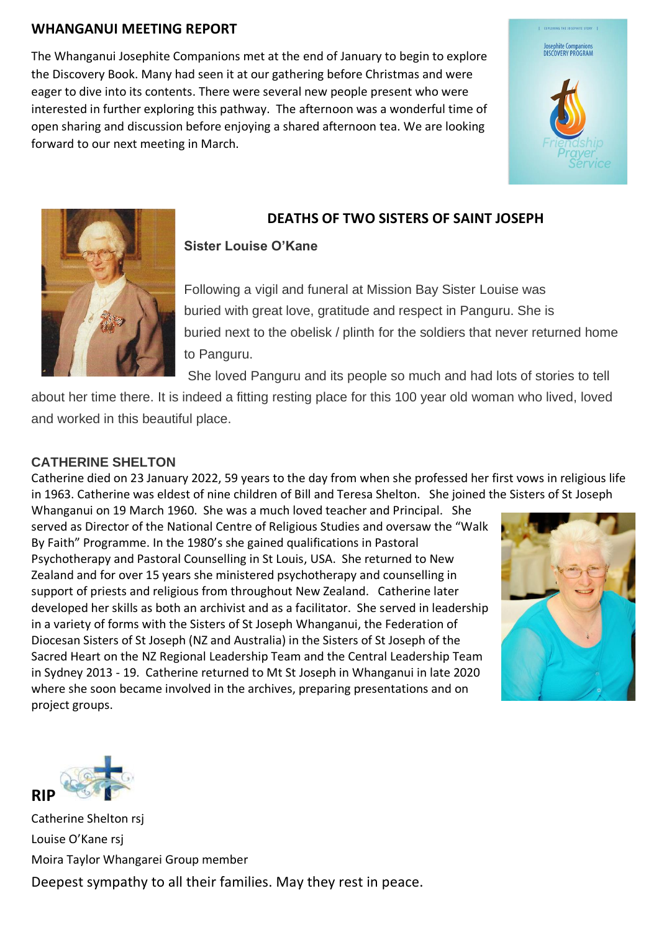## **WHANGANUI MEETING REPORT**

The Whanganui Josephite Companions met at the end of January to begin to explore the Discovery Book. Many had seen it at our gathering before Christmas and were eager to dive into its contents. There were several new people present who were interested in further exploring this pathway. The afternoon was a wonderful time of open sharing and discussion before enjoying a shared afternoon tea. We are looking forward to our next meeting in March.





## **DEATHS OF TWO SISTERS OF SAINT JOSEPH**

### **Sister Louise O'Kane**

Following a vigil and funeral at Mission Bay Sister Louise was buried with great love, gratitude and respect in Panguru. She is buried next to the obelisk / plinth for the soldiers that never returned home to Panguru.

She loved Panguru and its people so much and had lots of stories to tell

about her time there. It is indeed a fitting resting place for this 100 year old woman who lived, loved and worked in this beautiful place.

#### **CATHERINE SHELTON**

Catherine died on 23 January 2022, 59 years to the day from when she professed her first vows in religious life in 1963. Catherine was eldest of nine children of Bill and Teresa Shelton. She joined the Sisters of St Joseph

Whanganui on 19 March 1960. She was a much loved teacher and Principal. She served as Director of the National Centre of Religious Studies and oversaw the "Walk By Faith" Programme. In the 1980's she gained qualifications in Pastoral Psychotherapy and Pastoral Counselling in St Louis, USA. She returned to New Zealand and for over 15 years she ministered psychotherapy and counselling in support of priests and religious from throughout New Zealand. Catherine later developed her skills as both an archivist and as a facilitator. She served in leadership in a variety of forms with the Sisters of St Joseph Whanganui, the Federation of Diocesan Sisters of St Joseph (NZ and Australia) in the Sisters of St Joseph of the Sacred Heart on the NZ Regional Leadership Team and the Central Leadership Team in Sydney 2013 - 19. Catherine returned to Mt St Joseph in Whanganui in late 2020 where she soon became involved in the archives, preparing presentations and on project groups.





Catherine Shelton rsj Louise O'Kane rsj Moira Taylor Whangarei Group member Deepest sympathy to all their families. May they rest in peace.